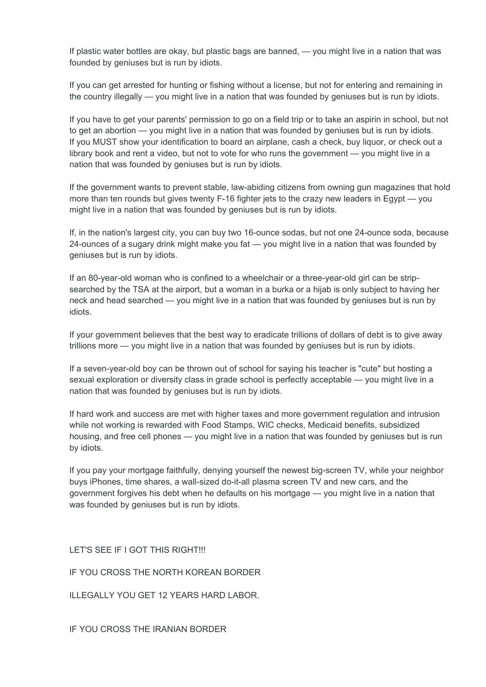If plastic water bottles are okay, but plastic bags are banned, — you might live in a nation that was founded by geniuses but is run by idiots.

If you can get arrested for hunting or fishing without a license, but not for entering and remaining in the country illegally — you might live in a nation that was founded by geniuses but is run by idiots.

If you have to get your parents' permission to go on a field trip or to take an aspirin in school, but not to get an abortion — you might live in a nation that was founded by geniuses but is run by idiots. If you MUST show your identification to board an airplane, cash a check, buy liquor, or check out a library book and rent a video, but not to vote for who runs the government — you might live in a nation that was founded by geniuses but is run by idiots.

If the government wants to prevent stable, law-abiding citizens from owning gun magazines that hold more than ten rounds but gives twenty F-16 fighter jets to the crazy new leaders in Egypt — you might live in a nation that was founded by geniuses but is run by idiots.

If, in the nation's largest city, you can buy two 16-ounce sodas, but not one 24-ounce soda, because 24-ounces of a sugary drink might make you fat — you might live in a nation that was founded by geniuses but is run by idiots.

If an 80-year-old woman who is confined to a wheelchair or a three-year-old girl can be stripsearched by the TSA at the airport, but a woman in a burka or a hijab is only subject to having her neck and head searched — you might live in a nation that was founded by geniuses but is run by idiots.

If your government believes that the best way to eradicate trillions of dollars of debt is to give away trillions more — you might live in a nation that was founded by geniuses but is run by idiots.

If a seven-year-old boy can be thrown out of school for saying his teacher is "cute" but hosting a sexual exploration or diversity class in grade school is perfectly acceptable — you might live in a nation that was founded by geniuses but is run by idiots.

If hard work and success are met with higher taxes and more government regulation and intrusion while not working is rewarded with Food Stamps, WIC checks, Medicaid benefits, subsidized housing, and free cell phones — you might live in a nation that was founded by geniuses but is run by idiots.

If you pay your mortgage faithfully, denying yourself the newest big-screen TV, while your neighbor buys iPhones, time shares, a wall-sized do-it-all plasma screen TV and new cars, and the government forgives his debt when he defaults on his mortgage — you might live in a nation that was founded by geniuses but is run by idiots.

LET'S SEE IF I GOT THIS RIGHT!!!

IF YOU CROSS THE NORTH KOREAN BORDER

ILLEGALLY YOU GET 12 YEARS HARD LABOR.

IF YOU CROSS THE IRANIAN BORDER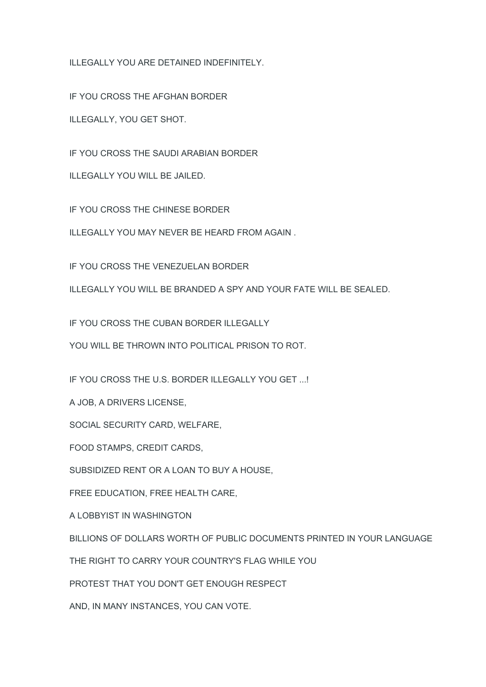ILLEGALLY YOU ARE DETAINED INDEFINITELY.

IF YOU CROSS THE AFGHAN BORDER

ILLEGALLY, YOU GET SHOT.

IF YOU CROSS THE SAUDI ARABIAN BORDER

ILLEGALLY YOU WILL BE JAILED.

IF YOU CROSS THE CHINESE BORDER

ILLEGALLY YOU MAY NEVER BE HEARD FROM AGAIN .

IF YOU CROSS THE VENEZUELAN BORDER

ILLEGALLY YOU WILL BE BRANDED A SPY AND YOUR FATE WILL BE SEALED.

IF YOU CROSS THE CUBAN BORDER ILLEGALLY

YOU WILL BE THROWN INTO POLITICAL PRISON TO ROT.

IF YOU CROSS THE U.S. BORDER ILLEGALLY YOU GET ...!

A JOB, A DRIVERS LICENSE,

SOCIAL SECURITY CARD, WELFARE,

FOOD STAMPS, CREDIT CARDS,

SUBSIDIZED RENT OR A LOAN TO BUY A HOUSE,

FREE EDUCATION, FREE HEALTH CARE,

A LOBBYIST IN WASHINGTON

BILLIONS OF DOLLARS WORTH OF PUBLIC DOCUMENTS PRINTED IN YOUR LANGUAGE

THE RIGHT TO CARRY YOUR COUNTRY'S FLAG WHILE YOU

PROTEST THAT YOU DON'T GET ENOUGH RESPECT

AND, IN MANY INSTANCES, YOU CAN VOTE.